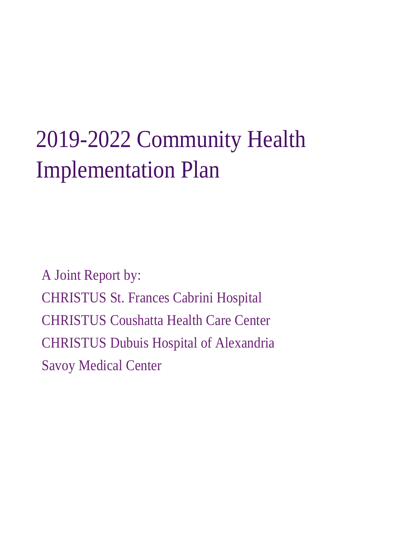# 2019-2022 Community Health Implementation Plan

A Joint Report by: CHRISTUS St. Frances Cabrini Hospital CHRISTUS Coushatta Health Care Center CHRISTUS Dubuis Hospital of Alexandria Savoy Medical Center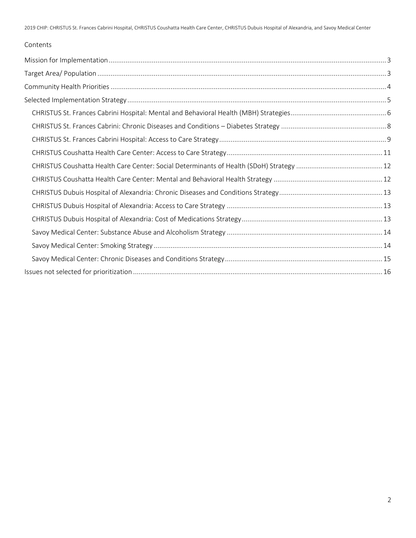#### Contents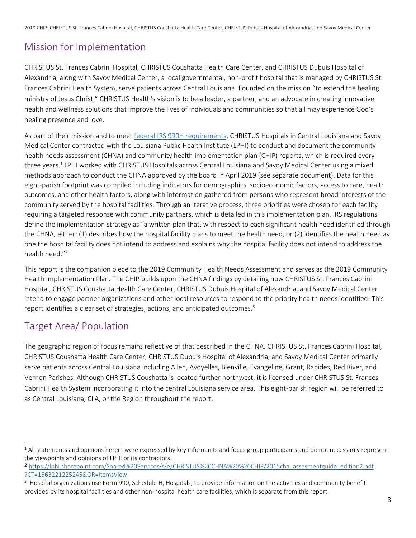## Mission for Implementation

CHRISTUS St. Frances Cabrini Hospital, CHRISTUS Coushatta Health Care Center, and CHRISTUS Dubuis Hospital of Alexandria, along with Savoy Medical Center, a local governmental, non-profit hospital that is managed by CHRISTUS St. Frances Cabrini Health System, serve patients across Central Louisiana. Founded on the mission "to extend the healing ministry of Jesus Christ," CHRISTUS Health's vision is to be a leader, a partner, and an advocate in creating innovative health and wellness solutions that improve the lives of individuals and communities so that all may experience God's healing presence and love.

As part of their mission and to meet [federal IRS 990H requirements,](https://www.irs.gov/forms-pubs/about-schedule-h-form-990) CHRISTUS Hospitals in Central Louisiana and Savoy Medical Center contracted with the Louisiana Public Health Institute (LPHI) to conduct and document the community health needs assessment (CHNA) and community health implementation plan (CHIP) reports, which is required every three years.<sup>1</sup> LPHI worked with CHRISTUS Hospitals across Central Louisiana and Savoy Medical Center using a mixed methods approach to conduct the CHNA approved by the board in April 2019 (see separate document). Data for this eight-parish footprint was compiled including indicators for demographics, socioeconomic factors, access to care, health outcomes, and other health factors, along with information gathered from persons who represent broad interests of the community served by the hospital facilities. Through an iterative process, three priorities were chosen for each facility requiring a targeted response with community partners, which is detailed in this implementation plan. IRS regulations define the implementation strategy as "a written plan that, with respect to each significant health need identified through the CHNA, either: (1) describes how the hospital facility plans to meet the health need, or (2) identifies the health need as one the hospital facility does not intend to address and explains why the hospital facility does not intend to address the health need."<sup>2</sup>

This report is the companion piece to the 2019 Community Health Needs Assessment and serves as the 2019 Community Health Implementation Plan. The CHIP builds upon the CHNA findings by detailing how CHRISTUS St. Frances Cabrini Hospital, CHRISTUS Coushatta Health Care Center, CHRISTUS Dubuis Hospital of Alexandria, and Savoy Medical Center intend to engage partner organizations and other local resources to respond to the priority health needs identified. This report identifies a clear set of strategies, actions, and anticipated outcomes.<sup>3</sup>

## Target Area/ Population

 $\overline{\phantom{a}}$ 

The geographic region of focus remains reflective of that described in the CHNA. CHRISTUS St. Frances Cabrini Hospital, CHRISTUS Coushatta Health Care Center, CHRISTUS Dubuis Hospital of Alexandria, and Savoy Medical Center primarily serve patients across Central Louisiana including Allen, Avoyelles, Bienville, Evangeline, Grant, Rapides, Red River, and Vernon Parishes. Although CHRISTUS Coushatta is located further northwest, it is licensed under CHRISTUS St. Frances Cabrini Health System incorporating it into the central Louisiana service area. This eight-parish region will be referred to as Central Louisiana, CLA, or the Region throughout the report.

 $1$  All statements and opinions herein were expressed by key informants and focus group participants and do not necessarily represent the viewpoints and opinions of LPHI or its contractors.

<sup>2</sup> [https://lphi.sharepoint.com/Shared%20Services/s/e/CHRISTUS%20CHNA%20%20CHIP/2015cha\\_assesmentguide\\_edition2.pdf](https://lphi.sharepoint.com/Shared%20Services/s/e/CHRISTUS%20CHNA%20%20CHIP/2015cha_assesmentguide_edition2.pdf%20?CT=1563221225245&OR=ItemsView)  [?CT=1563221225245&OR=ItemsView](https://lphi.sharepoint.com/Shared%20Services/s/e/CHRISTUS%20CHNA%20%20CHIP/2015cha_assesmentguide_edition2.pdf%20?CT=1563221225245&OR=ItemsView)

<sup>&</sup>lt;sup>3</sup> Hospital organizations use Form 990, Schedule H, Hospitals, to provide information on the activities and community benefit provided by its hospital facilities and other non-hospital health care facilities, which is separate from this report.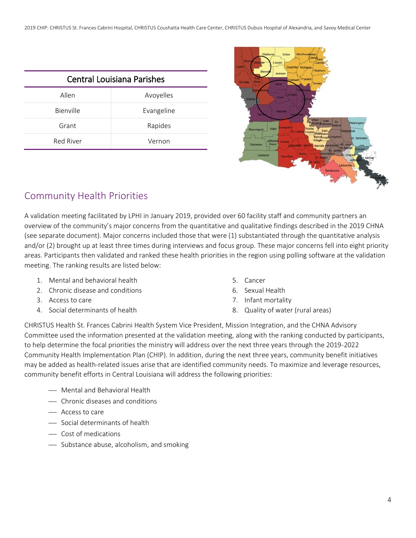2019 CHIP: CHRISTUS St. Frances Cabrini Hospital, CHRISTUS Coushatta Health Care Center, CHRISTUS Dubuis Hospital of Alexandria, and Savoy Medical Center

| <b>Central Louisiana Parishes</b> |            |
|-----------------------------------|------------|
| Allen                             | Avoyelles  |
| Bienville                         | Evangeline |
| Grant                             | Rapides    |
| Red River                         | Vernon     |



## Community Health Priorities

A validation meeting facilitated by LPHI in January 2019, provided over 60 facility staff and community partners an overview of the community's major concerns from the quantitative and qualitative findings described in the 2019 CHNA (see separate document). Major concerns included those that were (1) substantiated through the quantitative analysis and/or (2) brought up at least three times during interviews and focus group. These major concerns fell into eight priority areas. Participants then validated and ranked these health priorities in the region using polling software at the validation meeting. The ranking results are listed below:

- 1. Mental and behavioral health
- 2. Chronic disease and conditions
- 3. Access to care
- 4. Social determinants of health
- 5. Cancer
- 6. Sexual Health
- 7. Infant mortality
- 8. Quality of water (rural areas)

CHRISTUS Health St. Frances Cabrini Health System Vice President, Mission Integration, and the CHNA Advisory Committee used the information presented at the validation meeting, along with the ranking conducted by participants, to help determine the focal priorities the ministry will address over the next three years through the 2019-2022 Community Health Implementation Plan (CHIP). In addition, during the next three years, community benefit initiatives may be added as health-related issues arise that are identified community needs. To maximize and leverage resources, community benefit efforts in Central Louisiana will address the following priorities:

- Mental and Behavioral Health
- Chronic diseases and conditions
- Access to care
- Social determinants of health
- Cost of medications
- Substance abuse, alcoholism, and smoking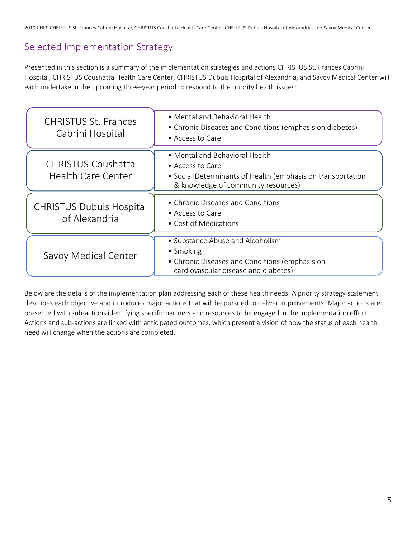## Selected Implementation Strategy

Presented in this section is a summary of the implementation strategies and actions CHRISTUS St. Frances Cabrini Hospital, CHRISTUS Coushatta Health Care Center, CHRISTUS Dubuis Hospital of Alexandria, and Savoy Medical Center will each undertake in the upcoming three-year period to respond to the priority health issues:

| <b>CHRISTUS St. Frances</b><br>Cabrini Hospital  | • Mental and Behavioral Health<br>• Chronic Diseases and Conditions (emphasis on diabetes)<br>• Access to Care                                           |
|--------------------------------------------------|----------------------------------------------------------------------------------------------------------------------------------------------------------|
| <b>CHRISTUS Coushatta</b><br>Health Care Center  | • Mental and Behavioral Health<br>• Access to Care<br>• Social Determinants of Health (emphasis on transportation<br>& knowledge of community resources) |
| <b>CHRISTUS Dubuis Hospital</b><br>of Alexandria | • Chronic Diseases and Conditions<br>• Access to Care<br>• Cost of Medications                                                                           |
| Savoy Medical Center                             | • Substance Abuse and Alcoholism<br>• Smoking<br>• Chronic Diseases and Conditions (emphasis on<br>cardiovascular disease and diabetes)                  |

Below are the details of the implementation plan addressing each of these health needs. A priority strategy statement describes each objective and introduces major actions that will be pursued to deliver improvements. Major actions are presented with sub-actions identifying specific partners and resources to be engaged in the implementation effort. Actions and sub-actions are linked with anticipated outcomes, which present a vision of how the status of each health need will change when the actions are completed.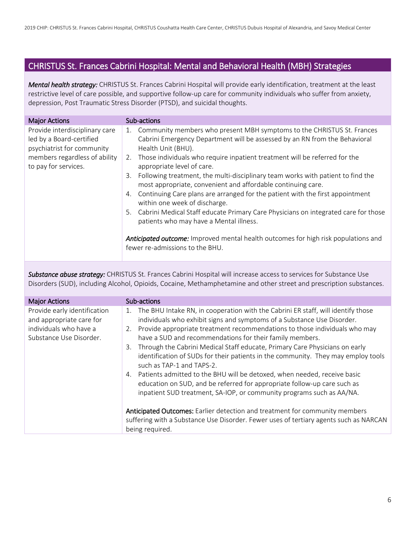#### CHRISTUS St. Frances Cabrini Hospital: Mental and Behavioral Health (MBH) Strategies

*Mental health strategy:* CHRISTUS St. Frances Cabrini Hospital will provide early identification, treatment at the least restrictive level of care possible, and supportive follow-up care for community individuals who suffer from anxiety, depression, Post Traumatic Stress Disorder (PTSD), and suicidal thoughts.

| <b>Major Actions</b>                                                                                                                              | Sub-actions                                                                                                                                                                                                                                                                                                                                                                                                                                                                                                                                                                                                                                                                                                                                                                                                                                             |
|---------------------------------------------------------------------------------------------------------------------------------------------------|---------------------------------------------------------------------------------------------------------------------------------------------------------------------------------------------------------------------------------------------------------------------------------------------------------------------------------------------------------------------------------------------------------------------------------------------------------------------------------------------------------------------------------------------------------------------------------------------------------------------------------------------------------------------------------------------------------------------------------------------------------------------------------------------------------------------------------------------------------|
| Provide interdisciplinary care<br>led by a Board-certified<br>psychiatrist for community<br>members regardless of ability<br>to pay for services. | Community members who present MBH symptoms to the CHRISTUS St. Frances<br>1.<br>Cabrini Emergency Department will be assessed by an RN from the Behavioral<br>Health Unit (BHU).<br>2. Those individuals who require inpatient treatment will be referred for the<br>appropriate level of care.<br>Following treatment, the multi-disciplinary team works with patient to find the<br>3.<br>most appropriate, convenient and affordable continuing care.<br>Continuing Care plans are arranged for the patient with the first appointment<br>4.<br>within one week of discharge.<br>Cabrini Medical Staff educate Primary Care Physicians on integrated care for those<br>5.<br>patients who may have a Mental illness.<br><b>Anticipated outcome:</b> Improved mental health outcomes for high risk populations and<br>fewer re-admissions to the BHU. |

*Substance abuse strategy:* CHRISTUS St. Frances Cabrini Hospital will increase access to services for Substance Use Disorders (SUD), including Alcohol, Opioids, Cocaine, Methamphetamine and other street and prescription substances.

| <b>Major Actions</b>                                                                                          | Sub-actions                                                                                                                                                                                                                                                                                                                                                                                                                                                                                                                                                                                                                                                                                                                                                                                                                                                                                                                                                |
|---------------------------------------------------------------------------------------------------------------|------------------------------------------------------------------------------------------------------------------------------------------------------------------------------------------------------------------------------------------------------------------------------------------------------------------------------------------------------------------------------------------------------------------------------------------------------------------------------------------------------------------------------------------------------------------------------------------------------------------------------------------------------------------------------------------------------------------------------------------------------------------------------------------------------------------------------------------------------------------------------------------------------------------------------------------------------------|
| Provide early identification<br>and appropriate care for<br>individuals who have a<br>Substance Use Disorder. | The BHU Intake RN, in cooperation with the Cabrini ER staff, will identify those<br>1.<br>individuals who exhibit signs and symptoms of a Substance Use Disorder.<br>Provide appropriate treatment recommendations to those individuals who may<br>2.<br>have a SUD and recommendations for their family members.<br>Through the Cabrini Medical Staff educate, Primary Care Physicians on early<br>3.<br>identification of SUDs for their patients in the community. They may employ tools<br>such as TAP-1 and TAPS-2.<br>Patients admitted to the BHU will be detoxed, when needed, receive basic<br>4.<br>education on SUD, and be referred for appropriate follow-up care such as<br>inpatient SUD treatment, SA-IOP, or community programs such as AA/NA.<br>Anticipated Outcomes: Earlier detection and treatment for community members<br>suffering with a Substance Use Disorder. Fewer uses of tertiary agents such as NARCAN<br>being required. |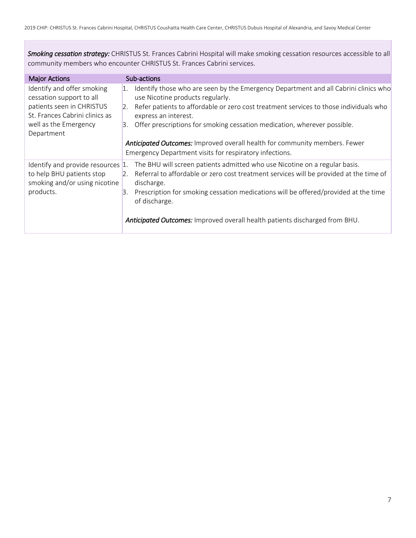*Smoking cessation strategy:* CHRISTUS St. Frances Cabrini Hospital will make smoking cessation resources accessible to all community members who encounter CHRISTUS St. Frances Cabrini services.

| <b>Major Actions</b>                                                                                                                                         | Sub-actions                                                                                                                                                                                                                                                                                                                                                                                                                                                                     |
|--------------------------------------------------------------------------------------------------------------------------------------------------------------|---------------------------------------------------------------------------------------------------------------------------------------------------------------------------------------------------------------------------------------------------------------------------------------------------------------------------------------------------------------------------------------------------------------------------------------------------------------------------------|
| Identify and offer smoking<br>cessation support to all<br>patients seen in CHRISTUS<br>St. Frances Cabrini clinics as<br>well as the Emergency<br>Department | Identify those who are seen by the Emergency Department and all Cabrini clinics who<br>1.<br>use Nicotine products regularly.<br>Refer patients to affordable or zero cost treatment services to those individuals who<br>2.<br>express an interest.<br>Offer prescriptions for smoking cessation medication, wherever possible.<br>3.<br>Anticipated Outcomes: Improved overall health for community members. Fewer<br>Emergency Department visits for respiratory infections. |
| Identify and provide resources $ 1.1\rangle$<br>to help BHU patients stop<br>smoking and/or using nicotine<br>products.                                      | The BHU will screen patients admitted who use Nicotine on a regular basis.<br>2. Referral to affordable or zero cost treatment services will be provided at the time of<br>discharge.<br>Prescription for smoking cessation medications will be offered/provided at the time<br>3.<br>of discharge.<br>Anticipated Outcomes: Improved overall health patients discharged from BHU.                                                                                              |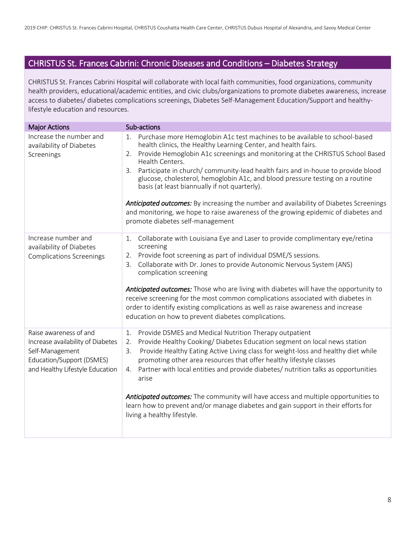## CHRISTUS St. Frances Cabrini: Chronic Diseases and Conditions – Diabetes Strategy

CHRISTUS St. Frances Cabrini Hospital will collaborate with local faith communities, food organizations, community health providers, educational/academic entities, and civic clubs/organizations to promote diabetes awareness, increase access to diabetes/ diabetes complications screenings, Diabetes Self-Management Education/Support and healthylifestyle education and resources.

| <b>Major Actions</b>                                 | Sub-actions                                                                                                                                                                                                             |
|------------------------------------------------------|-------------------------------------------------------------------------------------------------------------------------------------------------------------------------------------------------------------------------|
| Increase the number and<br>availability of Diabetes  | Purchase more Hemoglobin A1c test machines to be available to school-based<br>1.<br>health clinics, the Healthy Learning Center, and health fairs.                                                                      |
| Screenings                                           | Provide Hemoglobin A1c screenings and monitoring at the CHRISTUS School Based<br>2.<br>Health Centers.                                                                                                                  |
|                                                      | Participate in church/community-lead health fairs and in-house to provide blood<br>3.<br>glucose, cholesterol, hemoglobin A1c, and blood pressure testing on a routine<br>basis (at least biannually if not quarterly). |
|                                                      | <b>Anticipated outcomes:</b> By increasing the number and availability of Diabetes Screenings<br>and monitoring, we hope to raise awareness of the growing epidemic of diabetes and<br>promote diabetes self-management |
| Increase number and<br>availability of Diabetes      | Collaborate with Louisiana Eye and Laser to provide complimentary eye/retina<br>1.<br>screening                                                                                                                         |
| <b>Complications Screenings</b>                      | Provide foot screening as part of individual DSME/S sessions.<br>2.                                                                                                                                                     |
|                                                      | Collaborate with Dr. Jones to provide Autonomic Nervous System (ANS)<br>3.<br>complication screening                                                                                                                    |
|                                                      | <b>Anticipated outcomes:</b> Those who are living with diabetes will have the opportunity to<br>receive screening for the most common complications associated with diabetes in                                         |
|                                                      | order to identify existing complications as well as raise awareness and increase<br>education on how to prevent diabetes complications.                                                                                 |
| Raise awareness of and                               | Provide DSMES and Medical Nutrition Therapy outpatient<br>1.                                                                                                                                                            |
| Increase availability of Diabetes<br>Self-Management | Provide Healthy Cooking/Diabetes Education segment on local news station<br>2.<br>Provide Healthy Eating Active Living class for weight-loss and healthy diet while<br>3.                                               |
| Education/Support (DSMES)                            | promoting other area resources that offer healthy lifestyle classes                                                                                                                                                     |
| and Healthy Lifestyle Education                      | Partner with local entities and provide diabetes/ nutrition talks as opportunities<br>4.<br>arise                                                                                                                       |
|                                                      | Anticipated outcomes: The community will have access and multiple opportunities to<br>learn how to prevent and/or manage diabetes and gain support in their efforts for<br>living a healthy lifestyle.                  |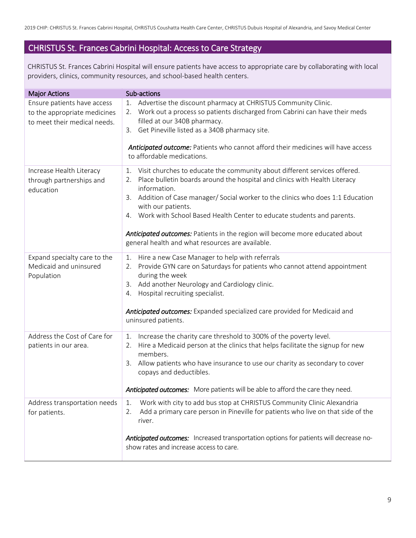2019 CHIP: CHRISTUS St. Frances Cabrini Hospital, CHRISTUS Coushatta Health Care Center, CHRISTUS Dubuis Hospital of Alexandria, and Savoy Medical Center

#### CHRISTUS St. Frances Cabrini Hospital: Access to Care Strategy

CHRISTUS St. Frances Cabrini Hospital will ensure patients have access to appropriate care by collaborating with local providers, clinics, community resources, and school-based health centers.

| <b>Major Actions</b>                                                                        | Sub-actions                                                                                                                                                                                                                                                                                                                                                                                                                                                                                                      |
|---------------------------------------------------------------------------------------------|------------------------------------------------------------------------------------------------------------------------------------------------------------------------------------------------------------------------------------------------------------------------------------------------------------------------------------------------------------------------------------------------------------------------------------------------------------------------------------------------------------------|
| Ensure patients have access<br>to the appropriate medicines<br>to meet their medical needs. | Advertise the discount pharmacy at CHRISTUS Community Clinic.<br>1.<br>2. Work out a process so patients discharged from Cabrini can have their meds<br>filled at our 340B pharmacy.<br>3. Get Pineville listed as a 340B pharmacy site.<br>Anticipated outcome: Patients who cannot afford their medicines will have access<br>to affordable medications.                                                                                                                                                       |
| Increase Health Literacy<br>through partnerships and<br>education                           | Visit churches to educate the community about different services offered.<br>1.<br>Place bulletin boards around the hospital and clinics with Health Literacy<br>2.<br>information.<br>Addition of Case manager/ Social worker to the clinics who does 1:1 Education<br>3.<br>with our patients.<br>4. Work with School Based Health Center to educate students and parents.<br>Anticipated outcomes: Patients in the region will become more educated about<br>general health and what resources are available. |
| Expand specialty care to the<br>Medicaid and uninsured<br>Population                        | Hire a new Case Manager to help with referrals<br>1.<br>Provide GYN care on Saturdays for patients who cannot attend appointment<br>2.<br>during the week<br>3. Add another Neurology and Cardiology clinic.<br>Hospital recruiting specialist.<br>4.<br>Anticipated outcomes: Expanded specialized care provided for Medicaid and<br>uninsured patients.                                                                                                                                                        |
| Address the Cost of Care for<br>patients in our area.                                       | Increase the charity care threshold to 300% of the poverty level.<br>1.<br>Hire a Medicaid person at the clinics that helps facilitate the signup for new<br>2.<br>members.<br>Allow patients who have insurance to use our charity as secondary to cover<br>3.<br>copays and deductibles.<br>Anticipated outcomes: More patients will be able to afford the care they need.                                                                                                                                     |
| Address transportation needs<br>for patients.                                               | Work with city to add bus stop at CHRISTUS Community Clinic Alexandria<br>1.<br>Add a primary care person in Pineville for patients who live on that side of the<br>2.<br>river.<br>Anticipated outcomes: Increased transportation options for patients will decrease no-<br>show rates and increase access to care.                                                                                                                                                                                             |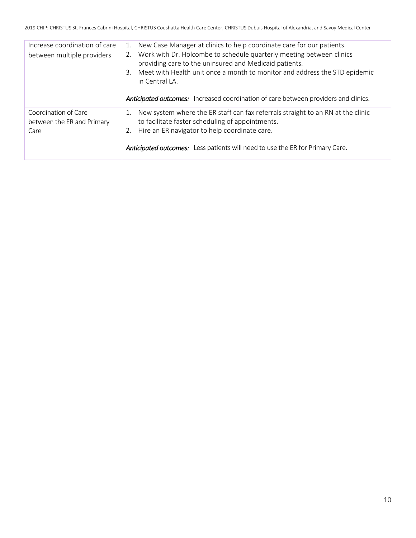| Increase coordination of care<br>between multiple providers | 1. New Case Manager at clinics to help coordinate care for our patients.<br>2. Work with Dr. Holcombe to schedule quarterly meeting between clinics<br>providing care to the uninsured and Medicaid patients.<br>3. Meet with Health unit once a month to monitor and address the STD epidemic<br>in Central LA.<br>Anticipated outcomes: Increased coordination of care between providers and clinics. |
|-------------------------------------------------------------|---------------------------------------------------------------------------------------------------------------------------------------------------------------------------------------------------------------------------------------------------------------------------------------------------------------------------------------------------------------------------------------------------------|
| Coordination of Care<br>between the ER and Primary<br>Care  | 1. New system where the ER staff can fax referrals straight to an RN at the clinic<br>to facilitate faster scheduling of appointments.<br>2. Hire an ER navigator to help coordinate care.<br><b>Anticipated outcomes:</b> Less patients will need to use the ER for Primary Care.                                                                                                                      |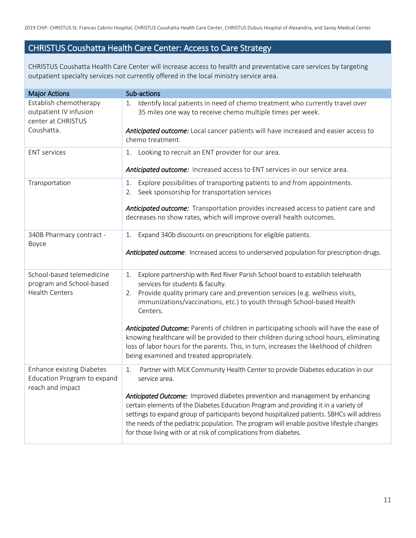#### CHRISTUS Coushatta Health Care Center: Access to Care Strategy

CHRISTUS Coushatta Health Care Center will increase access to health and preventative care services by targeting outpatient specialty services not currently offered in the local ministry service area.

| <b>Major Actions</b>                                                                | Sub-actions                                                                                                                                                                                                                                                                                                                                                                                                                        |
|-------------------------------------------------------------------------------------|------------------------------------------------------------------------------------------------------------------------------------------------------------------------------------------------------------------------------------------------------------------------------------------------------------------------------------------------------------------------------------------------------------------------------------|
| Establish chemotherapy<br>outpatient IV infusion<br>center at CHRISTUS              | Identify local patients in need of chemo treatment who currently travel over<br>1.<br>35 miles one way to receive chemo multiple times per week.                                                                                                                                                                                                                                                                                   |
| Coushatta.                                                                          | Anticipated outcome: Local cancer patients will have increased and easier access to<br>chemo treatment.                                                                                                                                                                                                                                                                                                                            |
| <b>ENT</b> services                                                                 | Looking to recruit an ENT provider for our area.<br>1.                                                                                                                                                                                                                                                                                                                                                                             |
|                                                                                     | Anticipated outcome: Increased access to ENT services in our service area.                                                                                                                                                                                                                                                                                                                                                         |
| Transportation                                                                      | Explore possibilities of transporting patients to and from appointments.<br>1.<br>Seek sponsorship for transportation services<br>2.                                                                                                                                                                                                                                                                                               |
|                                                                                     | Anticipated outcome: Transportation provides increased access to patient care and<br>decreases no show rates, which will improve overall health outcomes.                                                                                                                                                                                                                                                                          |
| 340B Pharmacy contract -<br>Boyce                                                   | Expand 340b discounts on prescriptions for eligible patients.<br>1.                                                                                                                                                                                                                                                                                                                                                                |
|                                                                                     | Anticipated outcome: Increased access to underserved population for prescription drugs.                                                                                                                                                                                                                                                                                                                                            |
| School-based telemedicine<br>program and School-based<br><b>Health Centers</b>      | Explore partnership with Red River Parish School board to establish telehealth<br>1.<br>services for students & faculty.                                                                                                                                                                                                                                                                                                           |
|                                                                                     | Provide quality primary care and prevention services (e.g. wellness visits,<br>2.<br>immunizations/vaccinations, etc.) to youth through School-based Health<br>Centers.                                                                                                                                                                                                                                                            |
|                                                                                     | Anticipated Outcome: Parents of children in participating schools will have the ease of<br>knowing healthcare will be provided to their children during school hours, eliminating<br>loss of labor hours for the parents. This, in turn, increases the likelihood of children<br>being examined and treated appropriately.                                                                                                         |
| <b>Enhance existing Diabetes</b><br>Education Program to expand<br>reach and impact | Partner with MLK Community Health Center to provide Diabetes education in our<br>1.<br>service area.                                                                                                                                                                                                                                                                                                                               |
|                                                                                     | Anticipated Outcome: Improved diabetes prevention and management by enhancing<br>certain elements of the Diabetes Education Program and providing it in a variety of<br>settings to expand group of participants beyond hospitalized patients. SBHCs will address<br>the needs of the pediatric population. The program will enable positive lifestyle changes<br>for those living with or at risk of complications from diabetes. |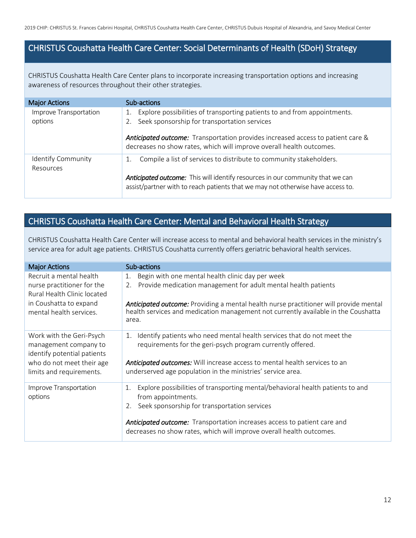#### CHRISTUS Coushatta Health Care Center: Social Determinants of Health (SDoH) Strategy

CHRISTUS Coushatta Health Care Center plans to incorporate increasing transportation options and increasing awareness of resources throughout their other strategies.

| <b>Major Actions</b>              | Sub-actions                                                                                                                                                       |
|-----------------------------------|-------------------------------------------------------------------------------------------------------------------------------------------------------------------|
| Improve Transportation<br>options | Explore possibilities of transporting patients to and from appointments.<br>1.<br>2. Seek sponsorship for transportation services                                 |
|                                   | Anticipated outcome: Transportation provides increased access to patient care &<br>decreases no show rates, which will improve overall health outcomes.           |
| Identify Community<br>Resources   | Compile a list of services to distribute to community stakeholders.                                                                                               |
|                                   | Anticipated outcome: This will identify resources in our community that we can<br>assist/partner with to reach patients that we may not otherwise have access to. |

## CHRISTUS Coushatta Health Care Center: Mental and Behavioral Health Strategy

CHRISTUS Coushatta Health Care Center will increase access to mental and behavioral health services in the ministry's service area for adult age patients. CHRISTUS Coushatta currently offers geriatric behavioral health services.

| <b>Major Actions</b>                                                                                           | Sub-actions                                                                                                                                                                                                                    |
|----------------------------------------------------------------------------------------------------------------|--------------------------------------------------------------------------------------------------------------------------------------------------------------------------------------------------------------------------------|
| Recruit a mental health<br>nurse practitioner for the<br>Rural Health Clinic located<br>in Coushatta to expand | Begin with one mental health clinic day per week<br>1.<br>Provide medication management for adult mental health patients<br>2.<br><b>Anticipated outcome:</b> Providing a mental health nurse practitioner will provide mental |
| mental health services.                                                                                        | health services and medication management not currently available in the Coushatta<br>area.                                                                                                                                    |
| Work with the Geri-Psych<br>management company to<br>identify potential patients                               | Identify patients who need mental health services that do not meet the<br>1.<br>requirements for the geri-psych program currently offered.                                                                                     |
| who do not meet their age<br>limits and requirements.                                                          | Anticipated outcomes: Will increase access to mental health services to an<br>underserved age population in the ministries' service area.                                                                                      |
| Improve Transportation<br>options                                                                              | Explore possibilities of transporting mental/behavioral health patients to and<br>1.<br>from appointments.<br>Seek sponsorship for transportation services                                                                     |
|                                                                                                                | <b>Anticipated outcome:</b> Transportation increases access to patient care and<br>decreases no show rates, which will improve overall health outcomes.                                                                        |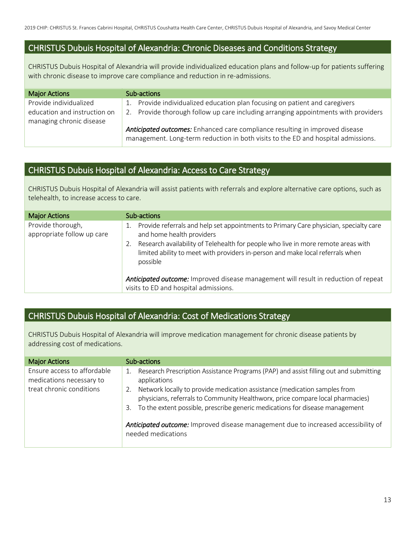#### CHRISTUS Dubuis Hospital of Alexandria: Chronic Diseases and Conditions Strategy

CHRISTUS Dubuis Hospital of Alexandria will provide individualized education plans and follow-up for patients suffering with chronic disease to improve care compliance and reduction in re-admissions.

| <b>Major Actions</b>         | Sub-actions                                                                         |  |  |
|------------------------------|-------------------------------------------------------------------------------------|--|--|
| Provide individualized       | Provide individualized education plan focusing on patient and caregivers<br>1.      |  |  |
| education and instruction on | 2. Provide thorough follow up care including arranging appointments with providers  |  |  |
| managing chronic disease     |                                                                                     |  |  |
|                              | <b>Anticipated outcomes:</b> Enhanced care compliance resulting in improved disease |  |  |
|                              | management. Long-term reduction in both visits to the ED and hospital admissions.   |  |  |

#### CHRISTUS Dubuis Hospital of Alexandria: Access to Care Strategy

CHRISTUS Dubuis Hospital of Alexandria will assist patients with referrals and explore alternative care options, such as telehealth, to increase access to care.

| <b>Major Actions</b>                            | Sub-actions                                                                                                                                                                     |
|-------------------------------------------------|---------------------------------------------------------------------------------------------------------------------------------------------------------------------------------|
| Provide thorough,<br>appropriate follow up care | Provide referrals and help set appointments to Primary Care physician, specialty care<br>and home health providers                                                              |
|                                                 | Research availability of Telehealth for people who live in more remote areas with<br>limited ability to meet with providers in-person and make local referrals when<br>possible |
|                                                 | Anticipated outcome: Improved disease management will result in reduction of repeat                                                                                             |
|                                                 | visits to ED and hospital admissions.                                                                                                                                           |

#### CHRISTUS Dubuis Hospital of Alexandria: Cost of Medications Strategy

CHRISTUS Dubuis Hospital of Alexandria will improve medication management for chronic disease patients by addressing cost of medications.

| <b>Major Actions</b>                                                                | Sub-actions                                                                                                                                                                                                                                                                                                                                                      |
|-------------------------------------------------------------------------------------|------------------------------------------------------------------------------------------------------------------------------------------------------------------------------------------------------------------------------------------------------------------------------------------------------------------------------------------------------------------|
| Ensure access to affordable<br>medications necessary to<br>treat chronic conditions | Research Prescription Assistance Programs (PAP) and assist filling out and submitting<br>applications<br>Network locally to provide medication assistance (medication samples from<br>2.<br>physicians, referrals to Community Healthworx, price compare local pharmacies)<br>To the extent possible, prescribe generic medications for disease management<br>3. |
|                                                                                     | <b>Anticipated outcome:</b> Improved disease management due to increased accessibility of<br>needed medications                                                                                                                                                                                                                                                  |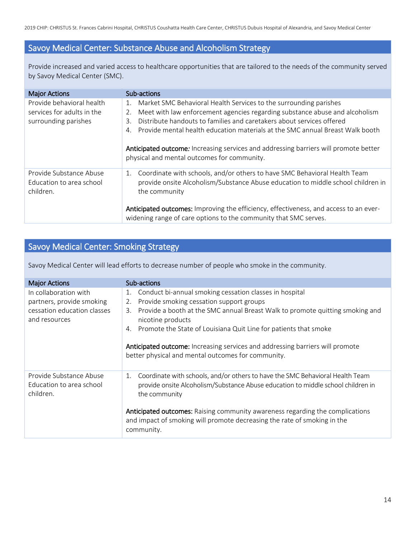#### Savoy Medical Center: Substance Abuse and Alcoholism Strategy

Provide increased and varied access to healthcare opportunities that are tailored to the needs of the community served by Savoy Medical Center (SMC).

| <b>Major Actions</b>                                                            | Sub-actions                                                                                                                                                                                                                                                                                                                                                                                                               |  |  |
|---------------------------------------------------------------------------------|---------------------------------------------------------------------------------------------------------------------------------------------------------------------------------------------------------------------------------------------------------------------------------------------------------------------------------------------------------------------------------------------------------------------------|--|--|
| Provide behavioral health<br>services for adults in the<br>surrounding parishes | Market SMC Behavioral Health Services to the surrounding parishes<br>1.<br>Meet with law enforcement agencies regarding substance abuse and alcoholism<br>2.<br>Distribute handouts to families and caretakers about services offered<br>3.<br>Provide mental health education materials at the SMC annual Breast Walk booth<br>4<br>Anticipated outcome: Increasing services and addressing barriers will promote better |  |  |
|                                                                                 | physical and mental outcomes for community.                                                                                                                                                                                                                                                                                                                                                                               |  |  |
| Provide Substance Abuse<br>Education to area school<br>children.                | Coordinate with schools, and/or others to have SMC Behavioral Health Team<br>1.<br>provide onsite Alcoholism/Substance Abuse education to middle school children in<br>the community                                                                                                                                                                                                                                      |  |  |
|                                                                                 | Anticipated outcomes: Improving the efficiency, effectiveness, and access to an ever-<br>widening range of care options to the community that SMC serves.                                                                                                                                                                                                                                                                 |  |  |

#### Savoy Medical Center: Smoking Strategy

Savoy Medical Center will lead efforts to decrease number of people who smoke in the community.

| <b>Major Actions</b>                                             | Sub-actions                                                                                                                                                                              |  |  |  |
|------------------------------------------------------------------|------------------------------------------------------------------------------------------------------------------------------------------------------------------------------------------|--|--|--|
| In collaboration with                                            | Conduct bi-annual smoking cessation classes in hospital<br>1.                                                                                                                            |  |  |  |
| partners, provide smoking                                        | Provide smoking cessation support groups<br>2.                                                                                                                                           |  |  |  |
| cessation education classes<br>and resources                     | Provide a booth at the SMC annual Breast Walk to promote quitting smoking and<br>3.<br>nicotine products                                                                                 |  |  |  |
|                                                                  | Promote the State of Louisiana Quit Line for patients that smoke<br>4.                                                                                                                   |  |  |  |
|                                                                  | Anticipated outcome: Increasing services and addressing barriers will promote<br>better physical and mental outcomes for community.                                                      |  |  |  |
| Provide Substance Abuse<br>Education to area school<br>children. | Coordinate with schools, and/or others to have the SMC Behavioral Health Team<br>1.<br>provide onsite Alcoholism/Substance Abuse education to middle school children in<br>the community |  |  |  |
|                                                                  | <b>Anticipated outcomes:</b> Raising community awareness regarding the complications<br>and impact of smoking will promote decreasing the rate of smoking in the<br>community.           |  |  |  |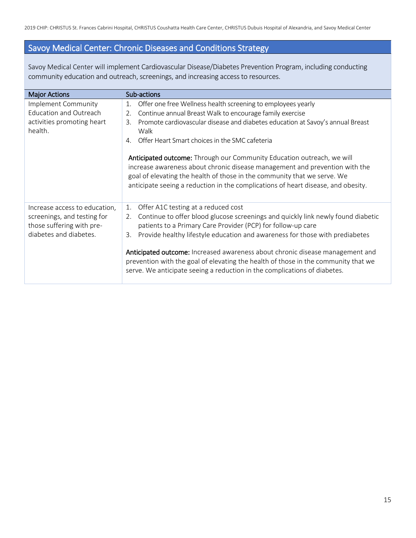## Savoy Medical Center: Chronic Diseases and Conditions Strategy

Savoy Medical Center will implement Cardiovascular Disease/Diabetes Prevention Program, including conducting community education and outreach, screenings, and increasing access to resources.

| <b>Major Actions</b>                                                                                                | Sub-actions                                                                                                                                                                                                                                                                                                                                                                                                                                                                                                                                                                                                            |  |  |  |
|---------------------------------------------------------------------------------------------------------------------|------------------------------------------------------------------------------------------------------------------------------------------------------------------------------------------------------------------------------------------------------------------------------------------------------------------------------------------------------------------------------------------------------------------------------------------------------------------------------------------------------------------------------------------------------------------------------------------------------------------------|--|--|--|
| Implement Community<br><b>Education and Outreach</b><br>activities promoting heart<br>health.                       | Offer one free Wellness health screening to employees yearly<br>1.<br>Continue annual Breast Walk to encourage family exercise<br>2.<br>Promote cardiovascular disease and diabetes education at Savoy's annual Breast<br>3.<br>Walk<br>Offer Heart Smart choices in the SMC cafeteria<br>4.<br>Anticipated outcome: Through our Community Education outreach, we will<br>increase awareness about chronic disease management and prevention with the<br>goal of elevating the health of those in the community that we serve. We<br>anticipate seeing a reduction in the complications of heart disease, and obesity. |  |  |  |
| Increase access to education,<br>screenings, and testing for<br>those suffering with pre-<br>diabetes and diabetes. | Offer A1C testing at a reduced cost<br>1.<br>Continue to offer blood glucose screenings and quickly link newly found diabetic<br>2.<br>patients to a Primary Care Provider (PCP) for follow-up care<br>Provide healthy lifestyle education and awareness for those with prediabetes<br>3.<br>Anticipated outcome: Increased awareness about chronic disease management and<br>prevention with the goal of elevating the health of those in the community that we<br>serve. We anticipate seeing a reduction in the complications of diabetes.                                                                          |  |  |  |